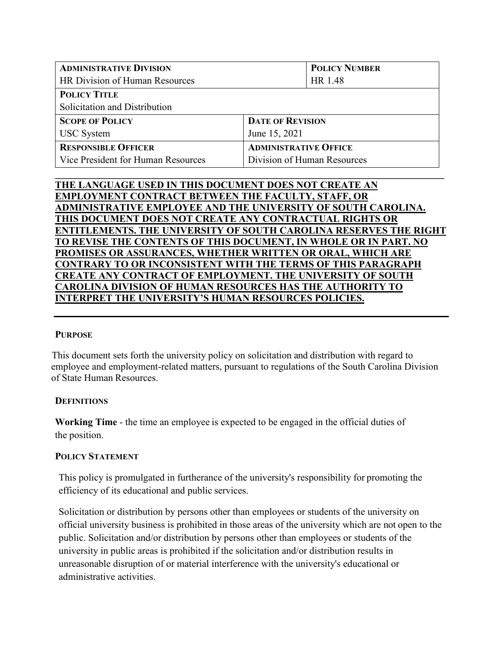| <b>ADMINISTRATIVE DIVISION</b>     |                              | <b>POLICY NUMBER</b>        |  |
|------------------------------------|------------------------------|-----------------------------|--|
| HR Division of Human Resources     |                              | HR 1.48                     |  |
| <b>POLICY TITLE</b>                |                              |                             |  |
| Solicitation and Distribution      |                              |                             |  |
| <b>SCOPE OF POLICY</b>             | <b>DATE OF REVISION</b>      |                             |  |
| <b>USC</b> System                  | June 15, 2021                |                             |  |
| <b>RESPONSIBLE OFFICER</b>         | <b>ADMINISTRATIVE OFFICE</b> |                             |  |
| Vice President for Human Resources |                              | Division of Human Resources |  |
|                                    |                              |                             |  |

# **THE LANGUAGE USED IN THIS DOCUMENT DOES NOT CREATE AN EMPLOYMENT CONTRACT BETWEEN THE FACULTY, STAFF, OR ADMINISTRATIVE EMPLOYEE AND THE UNIVERSITY OF SOUTH CAROLINA. THIS DOCUMENT DOES NOT CREATE ANY CONTRACTUAL RIGHTS OR ENTITLEMENTS. THE UNIVERSITY OF SOUTH CAROLINA RESERVES THE RIGHT TO REVISE THE CONTENTS OF THIS DOCUMENT, IN WHOLE OR IN PART. NO PROMISES OR ASSURANCES, WHETHER WRITTEN OR ORAL, WHICH ARE CONTRARY TO OR INCONSISTENT WITH THE TERMS OF THIS PARAGRAPH CREATE ANY CONTRACT OF EMPLOYMENT. THE UNIVERSITY OF SOUTH CAROLINA DIVISION OF HUMAN RESOURCES HAS THE AUTHORITY TO INTERPRET THE UNIVERSITY'S HUMAN RESOURCES POLICIES.**

## **PURPOSE**

This document sets forth the university policy on solicitation and distribution with regard to employee and employment-related matters, pursuant to regulations of the South Carolina Division of State Human Resources.

## **DEFINITIONS**

**Working Time** - the time an employee is expected to be engaged in the official duties of the position.

# **POLICY STATEMENT**

This policy is promulgated in furtherance of the university's responsibility for promoting the efficiency of its educational and public services.

Solicitation or distribution by persons other than employees or students of the university on official university business is prohibited in those areas of the university which are not open to the public. Solicitation and/or distribution by persons other than employees or students of the university in public areas is prohibited if the solicitation and/or distribution results in unreasonable disruption of or material interference with the university's educational or administrative activities.